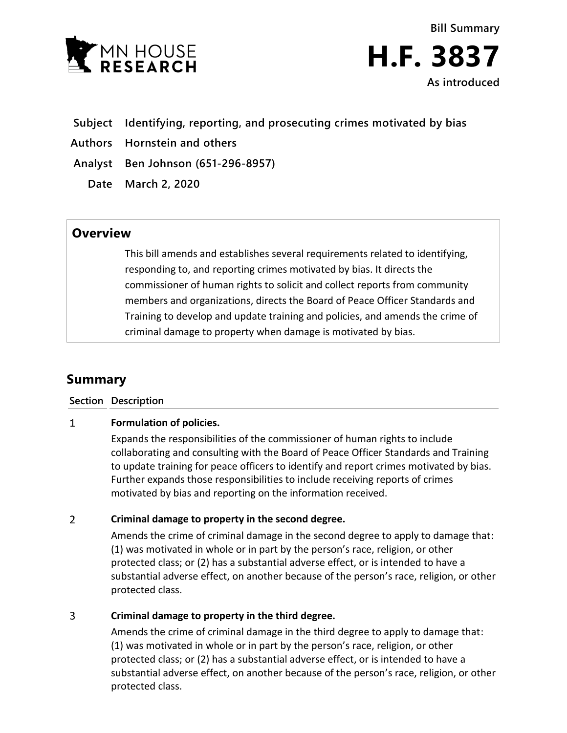



- **Subject Identifying, reporting, and prosecuting crimes motivated by bias**
- **Authors Hornstein and others**

**Analyst Ben Johnson (651-296-8957)**

**Date March 2, 2020**

## **Overview**

This bill amends and establishes several requirements related to identifying, responding to, and reporting crimes motivated by bias. It directs the commissioner of human rights to solicit and collect reports from community members and organizations, directs the Board of Peace Officer Standards and Training to develop and update training and policies, and amends the crime of criminal damage to property when damage is motivated by bias.

# **Summary**

**Section Description**

#### $\mathbf{1}$ **Formulation of policies.**

Expands the responsibilities of the commissioner of human rights to include collaborating and consulting with the Board of Peace Officer Standards and Training to update training for peace officers to identify and report crimes motivated by bias. Further expands those responsibilities to include receiving reports of crimes motivated by bias and reporting on the information received.

#### $\overline{2}$ **Criminal damage to property in the second degree.**

Amends the crime of criminal damage in the second degree to apply to damage that: (1) was motivated in whole or in part by the person's race, religion, or other protected class; or (2) has a substantial adverse effect, or is intended to have a substantial adverse effect, on another because of the person's race, religion, or other protected class.

#### $\overline{3}$ **Criminal damage to property in the third degree.**

Amends the crime of criminal damage in the third degree to apply to damage that: (1) was motivated in whole or in part by the person's race, religion, or other protected class; or (2) has a substantial adverse effect, or is intended to have a substantial adverse effect, on another because of the person's race, religion, or other protected class.